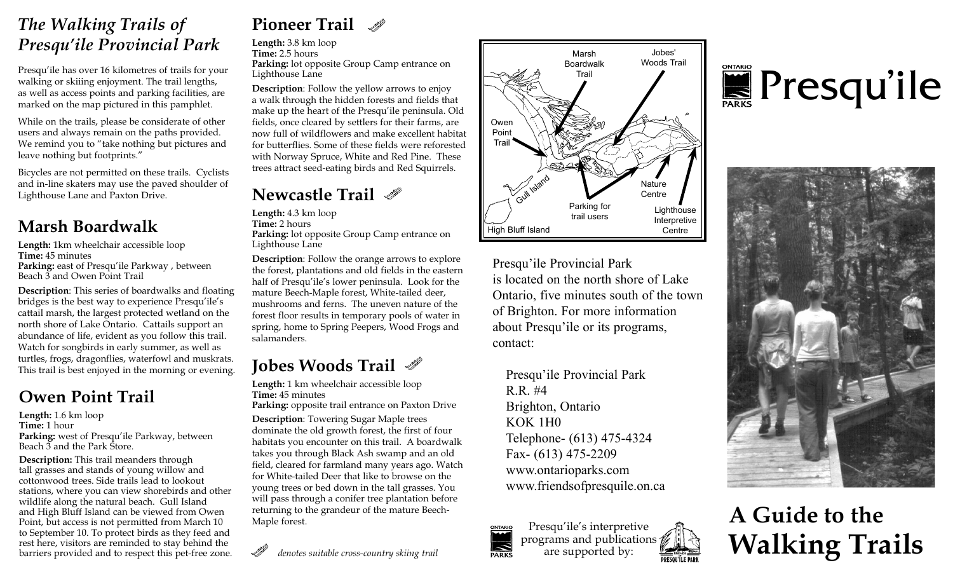#### *The Walking Trails of Presqu'ile Provincial Park*

Presqu'ile has over 16 kilometres of trails for your walking or skiiing enjoyment. The trail lengths, as well as access points and parking facilities, are marked on the map pictured in this pamphlet.

While on the trails, please be considerate of other users and always remain on the paths provided. We remind you to "take nothing but pictures and leave nothing but footprints."

Bicycles are not permitted on these trails. Cyclists and in-line skaters may use the paved shoulder of Lighthouse Lane and Paxton Drive.

**Length:** 1km wheelchair accessible loop **Time:** 45 minutes **Parking:** east of Presqu'ile Parkway , between Beach 3 and Owen Point Trail

**Description**: This series of boardwalks and floating bridges is the best way to experience Presqu'ile's cattail marsh, the largest protected wetland on the north shore of Lake Ontario. Cattails support an abundance of life, evident as you follow this trail. Watch for songbirds in early summer, as well as turtles, frogs, dragonflies, waterfowl and muskrats. This trail is best enjoyed in the morning or evening.

#### **Owen Point Trail**

**Length:** 1.6 km loop **Time:** 1 hour **Parking:** west of Presqu'ile Parkway, between Beach 3 and the Park Store.

**Description:** This trail meanders through tall grasses and stands of young willow and cottonwood trees. Side trails lead to lookout stations, where you can view shorebirds and other wildlife along the natural beach. Gull Island and High Bluff Island can be viewed from Owen Point, but access is not permitted from March 10 to September 10. To protect birds as they feed and rest here, visitors are reminded to stay behind the barriers provided and to respect this pet-free zone.

#### **Pioneer Trail**

**Length:** 3.8 km loop **Time:** 2.5 hours **Parking:** lot opposite Group Camp entrance on Lighthouse Lane

**Description**: Follow the yellow arrows to enjoy a walk through the hidden forests and fields that make up the heart of the Presqu'ile peninsula. Old fields, once cleared by settlers for their farms, are now full of wildflowers and make excellent habitat for butterflies. Some of these fields were reforested with Norway Spruce, White and Red Pine. These trees attract seed-eating birds and Red Squirrels.

#### **Newcastle Trail**

**Marsh Boardwalk Ength:** 4.5 km loop **Marsh Boardwalk Marsh Boardwalk Time:** 2 hours **Length:** 4.3 km loop **Time:** 2 hours **Parking:** lot opposite Group Camp entrance on Lighthouse Lane

> **Description**: Follow the orange arrows to explore the forest, plantations and old fields in the eastern half of Presqu'ile's lower peninsula. Look for the mature Beech-Maple forest, White-tailed deer, mushrooms and ferns. The uneven nature of the forest floor results in temporary pools of water in spring, home to Spring Peepers, Wood Frogs and salamanders.

### **Jobes Woods Trail**

**Length:** 1 km wheelchair accessible loop **Time:** 45 minutes Parking: opposite trail entrance on Paxton Drive

**Description**: Towering Sugar Maple trees dominate the old growth forest, the first of four habitats you encounter on this trail. A boardwalk takes you through Black Ash swamp and an old field, cleared for farmland many years ago. Watch for White-tailed Deer that like to browse on the young trees or bed down in the tall grasses. You will pass through a conifer tree plantation before returning to the grandeur of the mature Beech-Maple forest.





Presqu'ile Provincial Park is located on the north shore of Lake Ontario, five minutes south of the town of Brighton. For more information about Presqu'ile or its programs, contact:

Presqu'ile Provincial Park R.R. #4 Brighton, Ontario KOK 1H0 Telephone- (613) 475-4324 Fax- (613) 475-2209 www.ontarioparks.com www.friendsofpresquile.on.ca



# **E**Presqu'ile



## **A Guide to the Walking Trails**